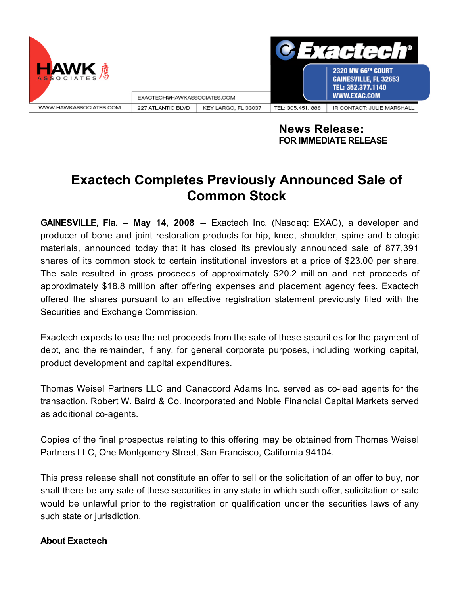

**News Release: FOR IMMEDIATE RELEASE**

## **Exactech Completes Previously Announced Sale of Common Stock**

**GAINESVILLE, Fla. – May 14, 2008 --** Exactech Inc. (Nasdaq: EXAC), a developer and producer of bone and joint restoration products for hip, knee, shoulder, spine and biologic materials, announced today that it has closed its previously announced sale of 877,391 shares of its common stock to certain institutional investors at a price of \$23.00 per share. The sale resulted in gross proceeds of approximately \$20.2 million and net proceeds of approximately \$18.8 million after offering expenses and placement agency fees. Exactech offered the shares pursuant to an effective registration statement previously filed with the Securities and Exchange Commission.

Exactech expects to use the net proceeds from the sale of these securities for the payment of debt, and the remainder, if any, for general corporate purposes, including working capital, product development and capital expenditures.

Thomas Weisel Partners LLC and Canaccord Adams Inc. served as co-lead agents for the transaction. Robert W. Baird & Co. Incorporated and Noble Financial Capital Markets served as additional co-agents.

Copies of the final prospectus relating to this offering may be obtained from Thomas Weisel Partners LLC, One Montgomery Street, San Francisco, California 94104.

This press release shall not constitute an offer to sell or the solicitation of an offer to buy, nor shall there be any sale of these securities in any state in which such offer, solicitation or sale would be unlawful prior to the registration or qualification under the securities laws of any such state or jurisdiction.

## **About Exactech**